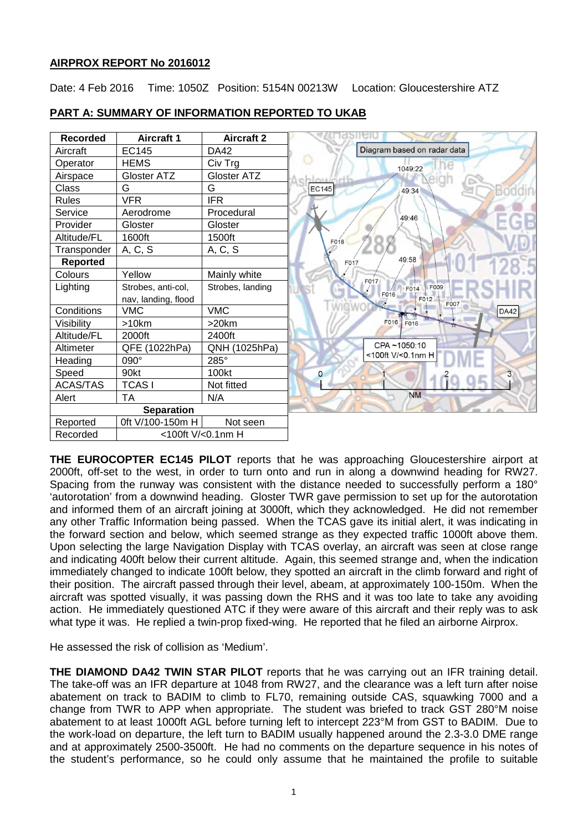# **AIRPROX REPORT No 2016012**

Date: 4 Feb 2016 Time: 1050Z Position: 5154N 00213W Location: Gloucestershire ATZ

| <b>Recorded</b>   | <b>Aircraft 1</b>   | <b>Aircraft 2</b> |                                  |
|-------------------|---------------------|-------------------|----------------------------------|
| Aircraft          | <b>EC145</b>        | DA42              | Diagram based on radar data      |
| Operator          | <b>HEMS</b>         | Civ Trg           | 1049:22                          |
| Airspace          | Gloster ATZ         | Gloster ATZ       |                                  |
| Class             | G                   | G                 | <b>EC145</b><br>49:34            |
| <b>Rules</b>      | <b>VFR</b>          | <b>IFR</b>        |                                  |
| Service           | Aerodrome           | Procedural        | 49:46                            |
| Provider          | Gloster             | Gloster           |                                  |
| Altitude/FL       | 1600ft              | 1500ft            | F018                             |
| Transponder       | A, C, S             | A, C, S           |                                  |
| <b>Reported</b>   |                     |                   | 49:58<br>F017                    |
| Colours           | Yellow              | Mainly white      | F017                             |
| Lighting          | Strobes, anti-col,  | Strobes, landing  | F009<br>F014                     |
|                   | nav, landing, flood |                   | F016<br>F012<br>F007             |
| Conditions        | <b>VMC</b>          | <b>VMC</b>        | <b>DA42</b>                      |
| Visibility        | >10km               | $>20$ km          | F016 F016                        |
| Altitude/FL       | 2000ft              | 2400ft            |                                  |
| Altimeter         | QFE (1022hPa)       | QNH (1025hPa)     | CPA~1050:10<br><100ft V/<0.1nm H |
| Heading           | 090°                | 285°              |                                  |
| Speed             | 90kt                | 100kt             | 0                                |
| <b>ACAS/TAS</b>   | <b>TCASI</b>        | Not fitted        |                                  |
| Alert             | ТA                  | N/A               | <b>NM</b>                        |
| <b>Separation</b> |                     |                   |                                  |
| Reported          | 0ft V/100-150m H    | Not seen          |                                  |
| Recorded          | <100ft V/<0.1nm H   |                   |                                  |

# **PART A: SUMMARY OF INFORMATION REPORTED TO UKAB**

**THE EUROCOPTER EC145 PILOT** reports that he was approaching Gloucestershire airport at 2000ft, off-set to the west, in order to turn onto and run in along a downwind heading for RW27. Spacing from the runway was consistent with the distance needed to successfully perform a 180° 'autorotation' from a downwind heading. Gloster TWR gave permission to set up for the autorotation and informed them of an aircraft joining at 3000ft, which they acknowledged. He did not remember any other Traffic Information being passed. When the TCAS gave its initial alert, it was indicating in the forward section and below, which seemed strange as they expected traffic 1000ft above them. Upon selecting the large Navigation Display with TCAS overlay, an aircraft was seen at close range and indicating 400ft below their current altitude. Again, this seemed strange and, when the indication immediately changed to indicate 100ft below, they spotted an aircraft in the climb forward and right of their position. The aircraft passed through their level, abeam, at approximately 100-150m. When the aircraft was spotted visually, it was passing down the RHS and it was too late to take any avoiding action. He immediately questioned ATC if they were aware of this aircraft and their reply was to ask what type it was. He replied a twin-prop fixed-wing. He reported that he filed an airborne Airprox.

He assessed the risk of collision as 'Medium'.

**THE DIAMOND DA42 TWIN STAR PILOT** reports that he was carrying out an IFR training detail. The take-off was an IFR departure at 1048 from RW27, and the clearance was a left turn after noise abatement on track to BADIM to climb to FL70, remaining outside CAS, squawking 7000 and a change from TWR to APP when appropriate. The student was briefed to track GST 280°M noise abatement to at least 1000ft AGL before turning left to intercept 223°M from GST to BADIM. Due to the work-load on departure, the left turn to BADIM usually happened around the 2.3-3.0 DME range and at approximately 2500-3500ft. He had no comments on the departure sequence in his notes of the student's performance, so he could only assume that he maintained the profile to suitable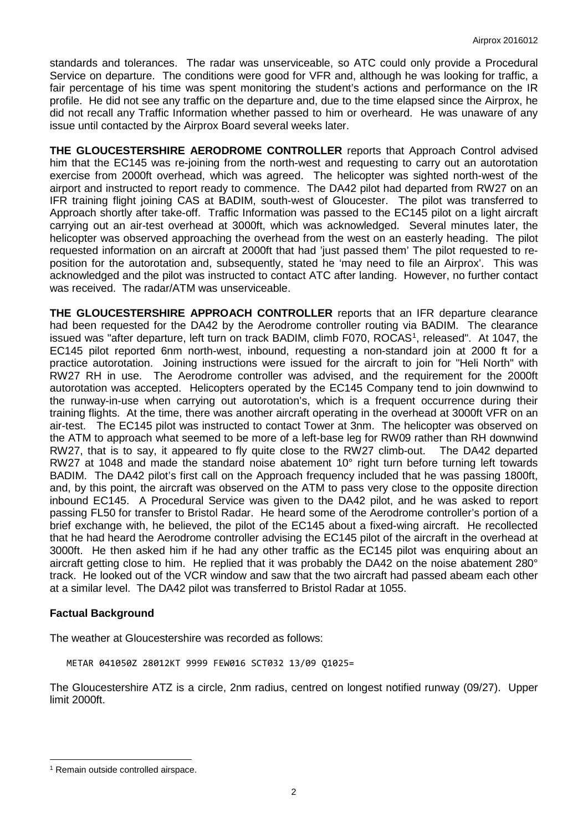standards and tolerances. The radar was unserviceable, so ATC could only provide a Procedural Service on departure. The conditions were good for VFR and, although he was looking for traffic, a fair percentage of his time was spent monitoring the student's actions and performance on the IR profile. He did not see any traffic on the departure and, due to the time elapsed since the Airprox, he did not recall any Traffic Information whether passed to him or overheard. He was unaware of any issue until contacted by the Airprox Board several weeks later.

**THE GLOUCESTERSHIRE AERODROME CONTROLLER** reports that Approach Control advised him that the EC145 was re-joining from the north-west and requesting to carry out an autorotation exercise from 2000ft overhead, which was agreed. The helicopter was sighted north-west of the airport and instructed to report ready to commence. The DA42 pilot had departed from RW27 on an IFR training flight joining CAS at BADIM, south-west of Gloucester. The pilot was transferred to Approach shortly after take-off. Traffic Information was passed to the EC145 pilot on a light aircraft carrying out an air-test overhead at 3000ft, which was acknowledged. Several minutes later, the helicopter was observed approaching the overhead from the west on an easterly heading. The pilot requested information on an aircraft at 2000ft that had 'just passed them' The pilot requested to reposition for the autorotation and, subsequently, stated he 'may need to file an Airprox'. This was acknowledged and the pilot was instructed to contact ATC after landing. However, no further contact was received. The radar/ATM was unserviceable.

**THE GLOUCESTERSHIRE APPROACH CONTROLLER** reports that an IFR departure clearance had been requested for the DA42 by the Aerodrome controller routing via BADIM. The clearance issued was "after departure, left turn on track BADIM, climb F070, ROCAS<sup>[1](#page-1-0)</sup>, released". At 1047, the EC145 pilot reported 6nm north-west, inbound, requesting a non-standard join at 2000 ft for a practice autorotation. Joining instructions were issued for the aircraft to join for "Heli North" with RW27 RH in use. The Aerodrome controller was advised, and the requirement for the 2000ft autorotation was accepted. Helicopters operated by the EC145 Company tend to join downwind to the runway-in-use when carrying out autorotation's, which is a frequent occurrence during their training flights. At the time, there was another aircraft operating in the overhead at 3000ft VFR on an air-test. The EC145 pilot was instructed to contact Tower at 3nm. The helicopter was observed on the ATM to approach what seemed to be more of a left-base leg for RW09 rather than RH downwind RW27, that is to say, it appeared to fly quite close to the RW27 climb-out. The DA42 departed RW27 at 1048 and made the standard noise abatement 10 $^{\circ}$  right turn before turning left towards BADIM. The DA42 pilot's first call on the Approach frequency included that he was passing 1800ft, and, by this point, the aircraft was observed on the ATM to pass very close to the opposite direction inbound EC145. A Procedural Service was given to the DA42 pilot, and he was asked to report passing FL50 for transfer to Bristol Radar. He heard some of the Aerodrome controller's portion of a brief exchange with, he believed, the pilot of the EC145 about a fixed-wing aircraft. He recollected that he had heard the Aerodrome controller advising the EC145 pilot of the aircraft in the overhead at 3000ft. He then asked him if he had any other traffic as the EC145 pilot was enquiring about an aircraft getting close to him. He replied that it was probably the DA42 on the noise abatement 280° track. He looked out of the VCR window and saw that the two aircraft had passed abeam each other at a similar level. The DA42 pilot was transferred to Bristol Radar at 1055.

# **Factual Background**

The weather at Gloucestershire was recorded as follows:

METAR 041050Z 28012KT 9999 FEW016 SCT032 13/09 Q1025=

The Gloucestershire ATZ is a circle, 2nm radius, centred on longest notified runway (09/27). Upper limit 2000ft.

 $\overline{\phantom{a}}$ 

<span id="page-1-0"></span><sup>&</sup>lt;sup>1</sup> Remain outside controlled airspace.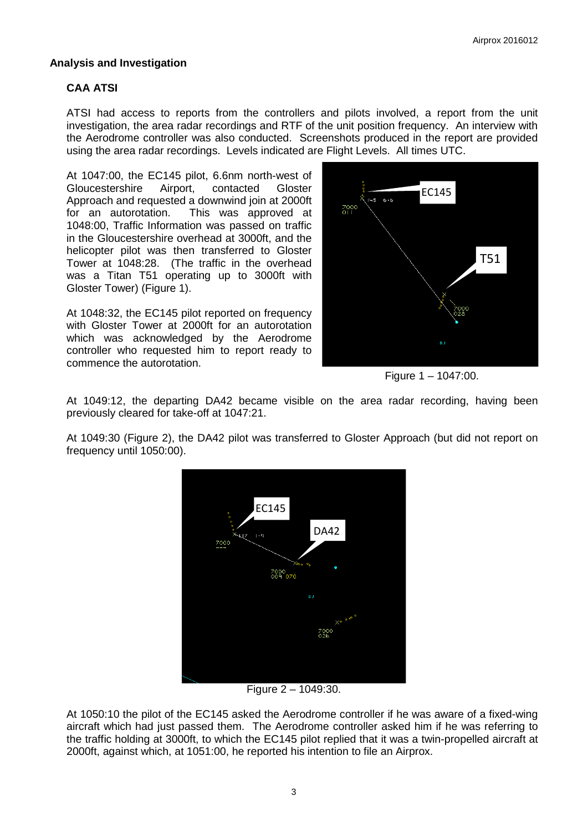## **Analysis and Investigation**

# **CAA ATSI**

ATSI had access to reports from the controllers and pilots involved, a report from the unit investigation, the area radar recordings and RTF of the unit position frequency. An interview with the Aerodrome controller was also conducted. Screenshots produced in the report are provided using the area radar recordings. Levels indicated are Flight Levels. All times UTC.

At 1047:00, the EC145 pilot, 6.6nm north-west of Gloucestershire Airport, contacted Gloster Approach and requested a downwind join at 2000ft for an autorotation. This was approved at 1048:00, Traffic Information was passed on traffic in the Gloucestershire overhead at 3000ft, and the helicopter pilot was then transferred to Gloster Tower at 1048:28. (The traffic in the overhead was a Titan T51 operating up to 3000ft with Gloster Tower) (Figure 1).

At 1048:32, the EC145 pilot reported on frequency with Gloster Tower at 2000ft for an autorotation which was acknowledged by the Aerodrome controller who requested him to report ready to commence the autorotation.



Figure 1 – 1047:00.

At 1049:12, the departing DA42 became visible on the area radar recording, having been previously cleared for take-off at 1047:21.

At 1049:30 (Figure 2), the DA42 pilot was transferred to Gloster Approach (but did not report on frequency until 1050:00).



Figure 2 – 1049:30.

At 1050:10 the pilot of the EC145 asked the Aerodrome controller if he was aware of a fixed-wing aircraft which had just passed them. The Aerodrome controller asked him if he was referring to the traffic holding at 3000ft, to which the EC145 pilot replied that it was a twin-propelled aircraft at 2000ft, against which, at 1051:00, he reported his intention to file an Airprox.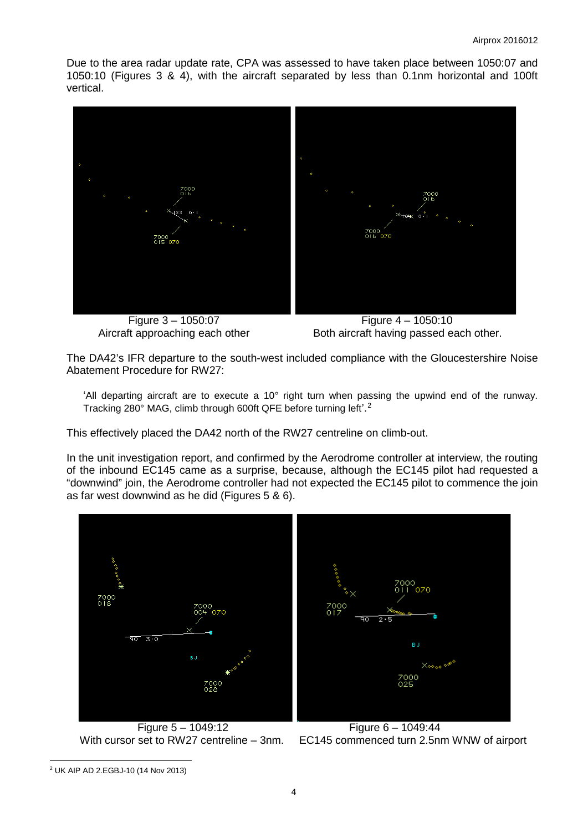Due to the area radar update rate, CPA was assessed to have taken place between 1050:07 and 1050:10 (Figures 3 & 4), with the aircraft separated by less than 0.1nm horizontal and 100ft vertical.



 Figure 3 – 1050:07 Figure 4 – 1050:10 Aircraft approaching each other Both aircraft having passed each other.

The DA42's IFR departure to the south-west included compliance with the Gloucestershire Noise Abatement Procedure for RW27:

'All departing aircraft are to execute a 10° right turn when passing the upwind end of the runway. Tracking [2](#page-3-0)80° MAG, climb through 600ft QFE before turning left'.<sup>2</sup>

This effectively placed the DA42 north of the RW27 centreline on climb-out.

In the unit investigation report, and confirmed by the Aerodrome controller at interview, the routing of the inbound EC145 came as a surprise, because, although the EC145 pilot had requested a "downwind" join, the Aerodrome controller had not expected the EC145 pilot to commence the join as far west downwind as he did (Figures 5 & 6).



Figure 5 – 1049:12<br>Figure 6 – 1049:44<br>With cursor set to RW27 centreline – 3nm. EC145 commenced turn 2.5ni

EC145 commenced turn 2.5nm WNW of airport

<span id="page-3-0"></span> $\overline{\phantom{a}}$ <sup>2</sup> UK AIP AD 2.EGBJ-10 (14 Nov 2013)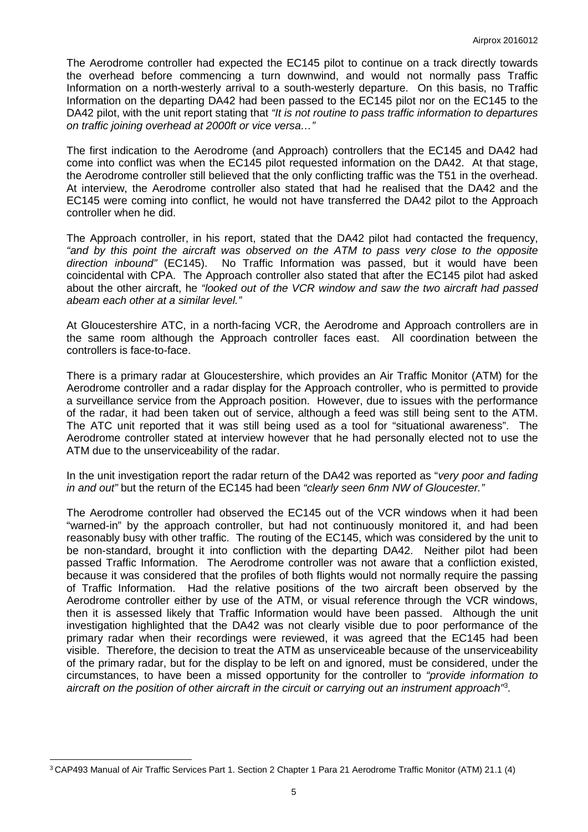The Aerodrome controller had expected the EC145 pilot to continue on a track directly towards the overhead before commencing a turn downwind, and would not normally pass Traffic Information on a north-westerly arrival to a south-westerly departure. On this basis, no Traffic Information on the departing DA42 had been passed to the EC145 pilot nor on the EC145 to the DA42 pilot, with the unit report stating that *"It is not routine to pass traffic information to departures on traffic joining overhead at 2000ft or vice versa…"*

The first indication to the Aerodrome (and Approach) controllers that the EC145 and DA42 had come into conflict was when the EC145 pilot requested information on the DA42. At that stage, the Aerodrome controller still believed that the only conflicting traffic was the T51 in the overhead. At interview, the Aerodrome controller also stated that had he realised that the DA42 and the EC145 were coming into conflict, he would not have transferred the DA42 pilot to the Approach controller when he did.

The Approach controller, in his report, stated that the DA42 pilot had contacted the frequency, *"and by this point the aircraft was observed on the ATM to pass very close to the opposite direction inbound"* (EC145). No Traffic Information was passed, but it would have been coincidental with CPA. The Approach controller also stated that after the EC145 pilot had asked about the other aircraft, he *"looked out of the VCR window and saw the two aircraft had passed abeam each other at a similar level."*

At Gloucestershire ATC, in a north-facing VCR, the Aerodrome and Approach controllers are in the same room although the Approach controller faces east. All coordination between the controllers is face-to-face.

There is a primary radar at Gloucestershire, which provides an Air Traffic Monitor (ATM) for the Aerodrome controller and a radar display for the Approach controller, who is permitted to provide a surveillance service from the Approach position. However, due to issues with the performance of the radar, it had been taken out of service, although a feed was still being sent to the ATM. The ATC unit reported that it was still being used as a tool for "situational awareness". The Aerodrome controller stated at interview however that he had personally elected not to use the ATM due to the unserviceability of the radar.

In the unit investigation report the radar return of the DA42 was reported as "*very poor and fading in and out"* but the return of the EC145 had been *"clearly seen 6nm NW of Gloucester."*

The Aerodrome controller had observed the EC145 out of the VCR windows when it had been "warned-in" by the approach controller, but had not continuously monitored it, and had been reasonably busy with other traffic. The routing of the EC145, which was considered by the unit to be non-standard, brought it into confliction with the departing DA42. Neither pilot had been passed Traffic Information. The Aerodrome controller was not aware that a confliction existed, because it was considered that the profiles of both flights would not normally require the passing of Traffic Information. Had the relative positions of the two aircraft been observed by the Aerodrome controller either by use of the ATM, or visual reference through the VCR windows, then it is assessed likely that Traffic Information would have been passed. Although the unit investigation highlighted that the DA42 was not clearly visible due to poor performance of the primary radar when their recordings were reviewed, it was agreed that the EC145 had been visible. Therefore, the decision to treat the ATM as unserviceable because of the unserviceability of the primary radar, but for the display to be left on and ignored, must be considered, under the circumstances, to have been a missed opportunity for the controller to *"provide information to aircraft on the position of other aircraft in the circuit or carrying out an instrument approach"*[3](#page-4-0) *.*

 $\overline{\phantom{a}}$ 

<span id="page-4-0"></span><sup>3</sup> CAP493 Manual of Air Traffic Services Part 1. Section 2 Chapter 1 Para 21 Aerodrome Traffic Monitor (ATM) 21.1 (4)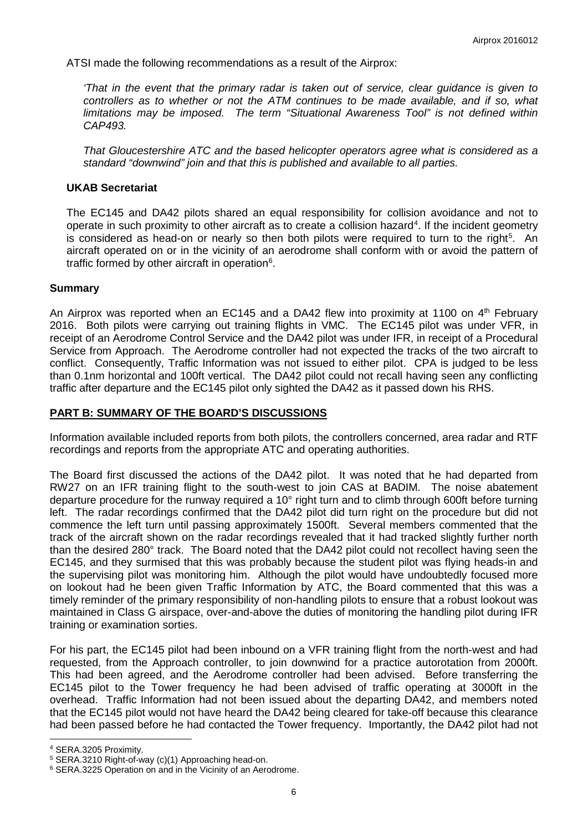ATSI made the following recommendations as a result of the Airprox:

*'That in the event that the primary radar is taken out of service, clear guidance is given to controllers as to whether or not the ATM continues to be made available, and if so, what limitations may be imposed. The term "Situational Awareness Tool" is not defined within CAP493.*

*That Gloucestershire ATC and the based helicopter operators agree what is considered as a standard "downwind" join and that this is published and available to all parties.*

#### **UKAB Secretariat**

The EC145 and DA42 pilots shared an equal responsibility for collision avoidance and not to operate in such proximity to other aircraft as to create a collision hazard<sup>[4](#page-5-0)</sup>. If the incident geometry is considered as head-on or nearly so then both pilots were required to turn to the right<sup>[5](#page-5-1)</sup>. An aircraft operated on or in the vicinity of an aerodrome shall conform with or avoid the pattern of traffic formed by other aircraft in operation $6$ .

#### **Summary**

An Airprox was reported when an EC145 and a DA42 flew into proximity at 1100 on  $4<sup>th</sup>$  February 2016. Both pilots were carrying out training flights in VMC. The EC145 pilot was under VFR, in receipt of an Aerodrome Control Service and the DA42 pilot was under IFR, in receipt of a Procedural Service from Approach. The Aerodrome controller had not expected the tracks of the two aircraft to conflict. Consequently, Traffic Information was not issued to either pilot. CPA is judged to be less than 0.1nm horizontal and 100ft vertical. The DA42 pilot could not recall having seen any conflicting traffic after departure and the EC145 pilot only sighted the DA42 as it passed down his RHS.

### **PART B: SUMMARY OF THE BOARD'S DISCUSSIONS**

Information available included reports from both pilots, the controllers concerned, area radar and RTF recordings and reports from the appropriate ATC and operating authorities.

The Board first discussed the actions of the DA42 pilot. It was noted that he had departed from RW27 on an IFR training flight to the south-west to join CAS at BADIM. The noise abatement departure procedure for the runway required a 10° right turn and to climb through 600ft before turning left. The radar recordings confirmed that the DA42 pilot did turn right on the procedure but did not commence the left turn until passing approximately 1500ft. Several members commented that the track of the aircraft shown on the radar recordings revealed that it had tracked slightly further north than the desired 280° track. The Board noted that the DA42 pilot could not recollect having seen the EC145, and they surmised that this was probably because the student pilot was flying heads-in and the supervising pilot was monitoring him. Although the pilot would have undoubtedly focused more on lookout had he been given Traffic Information by ATC, the Board commented that this was a timely reminder of the primary responsibility of non-handling pilots to ensure that a robust lookout was maintained in Class G airspace, over-and-above the duties of monitoring the handling pilot during IFR training or examination sorties.

For his part, the EC145 pilot had been inbound on a VFR training flight from the north-west and had requested, from the Approach controller, to join downwind for a practice autorotation from 2000ft. This had been agreed, and the Aerodrome controller had been advised. Before transferring the EC145 pilot to the Tower frequency he had been advised of traffic operating at 3000ft in the overhead. Traffic Information had not been issued about the departing DA42, and members noted that the EC145 pilot would not have heard the DA42 being cleared for take-off because this clearance had been passed before he had contacted the Tower frequency. Importantly, the DA42 pilot had not

 $\overline{\phantom{a}}$ 

<span id="page-5-0"></span><sup>4</sup> SERA.3205 Proximity.

<span id="page-5-1"></span><sup>5</sup> SERA.3210 Right-of-way (c)(1) Approaching head-on.

<span id="page-5-2"></span><sup>6</sup> SERA.3225 Operation on and in the Vicinity of an Aerodrome.